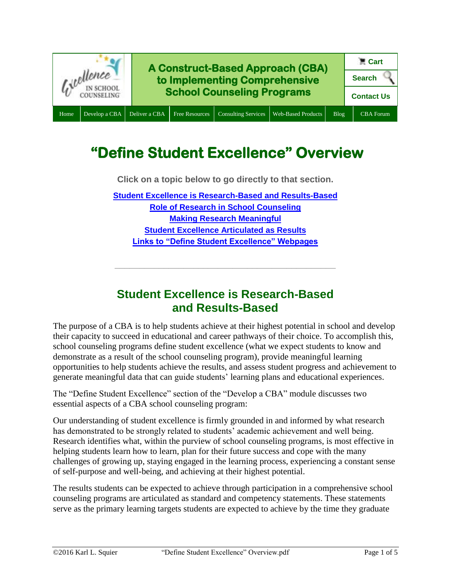

# **"Define Student Excellence" Overview**

**Click on a topic below to go directly to that section.**

**[Student Excellence is Research-Based and Results-Based](#page-0-0) Role of Research [in School Counseling](#page-1-0) [Making Research Meaningful](#page-2-0) [Student Excellence Articulated as Results](#page-3-0) [Links to "Define Student Excellence" Webpages](#page-3-1)**

#### **Student Excellence is Research-Based and Results-Based**

**\_\_\_\_\_\_\_\_\_\_\_\_\_\_\_\_\_\_\_\_\_\_\_\_\_\_\_\_\_\_\_\_\_\_\_\_\_\_\_\_\_\_\_\_\_**

<span id="page-0-0"></span>The purpose of a CBA is to help students achieve at their highest potential in school and develop their capacity to succeed in educational and career pathways of their choice. To accomplish this, school counseling programs define student excellence (what we expect students to know and demonstrate as a result of the school counseling program), provide meaningful learning opportunities to help students achieve the results, and assess student progress and achievement to generate meaningful data that can guide students' learning plans and educational experiences.

The "Define Student Excellence" section of the "Develop a CBA" module discusses two essential aspects of a CBA school counseling program:

Our understanding of student excellence is firmly grounded in and informed by what research has demonstrated to be strongly related to students' academic achievement and well being. Research identifies what, within the purview of school counseling programs, is most effective in helping students learn how to learn, plan for their future success and cope with the many challenges of growing up, staying engaged in the learning process, experiencing a constant sense of self-purpose and well-being, and achieving at their highest potential.

The results students can be expected to achieve through participation in a comprehensive school counseling programs are articulated as standard and competency statements. These statements serve as the primary learning targets students are expected to achieve by the time they graduate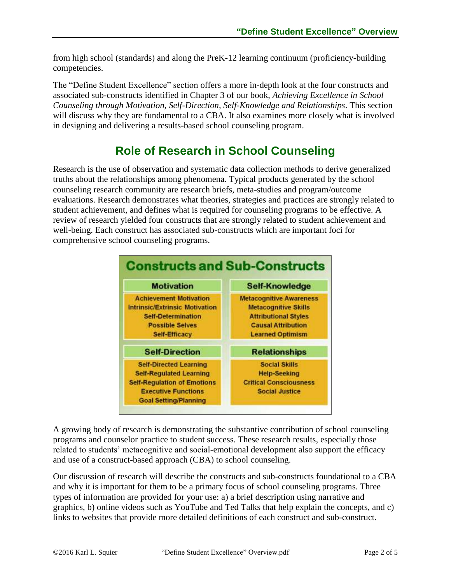from high school (standards) and along the PreK-12 learning continuum (proficiency-building competencies.

The "Define Student Excellence" section offers a more in-depth look at the four constructs and associated sub-constructs identified in Chapter 3 of our book, *Achieving Excellence in School Counseling through Motivation, Self-Direction, Self-Knowledge and Relationships*. This section will discuss why they are fundamental to a CBA. It also examines more closely what is involved in designing and delivering a results-based school counseling program.

## **Role of Research in School Counseling**

<span id="page-1-0"></span>Research is the use of observation and systematic data collection methods to derive generalized truths about the relationships among phenomena. Typical products generated by the school counseling research community are research briefs, meta-studies and program/outcome evaluations. Research demonstrates what theories, strategies and practices are strongly related to student achievement, and defines what is required for counseling programs to be effective. A review of research yielded four constructs that are strongly related to student achievement and well-being. Each construct has associated sub-constructs which are important foci for comprehensive school counseling programs.



A growing body of research is demonstrating the substantive contribution of school counseling programs and counselor practice to student success. These research results, especially those related to students' metacognitive and social-emotional development also support the efficacy and use of a construct-based approach (CBA) to school counseling.

Our discussion of research will describe the constructs and sub-constructs foundational to a CBA and why it is important for them to be a primary focus of school counseling programs. Three types of information are provided for your use: a) a brief description using narrative and graphics, b) online videos such as YouTube and Ted Talks that help explain the concepts, and c) links to websites that provide more detailed definitions of each construct and sub-construct.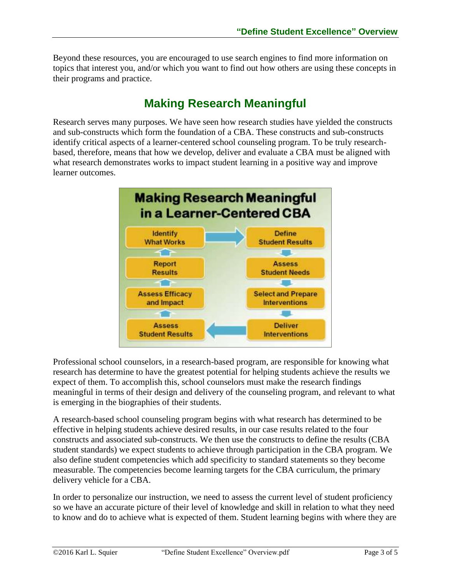Beyond these resources, you are encouraged to use search engines to find more information on topics that interest you, and/or which you want to find out how others are using these concepts in their programs and practice.

### **Making Research Meaningful**

<span id="page-2-0"></span>Research serves many purposes. We have seen how research studies have yielded the constructs and sub-constructs which form the foundation of a CBA. These constructs and sub-constructs identify critical aspects of a learner-centered school counseling program. To be truly researchbased, therefore, means that how we develop, deliver and evaluate a CBA must be aligned with what research demonstrates works to impact student learning in a positive way and improve learner outcomes.



Professional school counselors, in a research-based program, are responsible for knowing what research has determine to have the greatest potential for helping students achieve the results we expect of them. To accomplish this, school counselors must make the research findings meaningful in terms of their design and delivery of the counseling program, and relevant to what is emerging in the biographies of their students.

A research-based school counseling program begins with what research has determined to be effective in helping students achieve desired results, in our case results related to the four constructs and associated sub-constructs. We then use the constructs to define the results (CBA student standards) we expect students to achieve through participation in the CBA program. We also define student competencies which add specificity to standard statements so they become measurable. The competencies become learning targets for the CBA curriculum, the primary delivery vehicle for a CBA.

In order to personalize our instruction, we need to assess the current level of student proficiency so we have an accurate picture of their level of knowledge and skill in relation to what they need to know and do to achieve what is expected of them. Student learning begins with where they are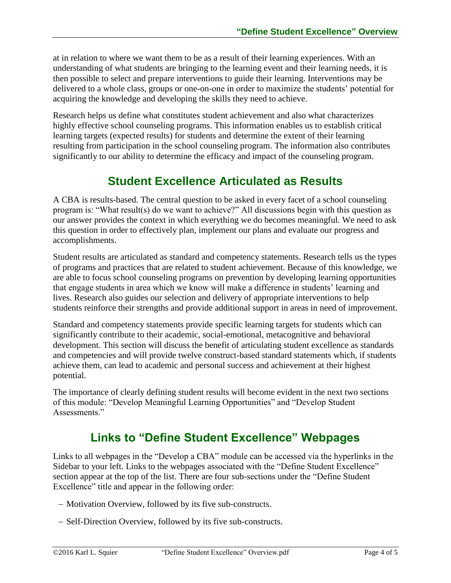at in relation to where we want them to be as a result of their learning experiences. With an understanding of what students are bringing to the learning event and their learning needs, it is then possible to select and prepare interventions to guide their learning. Interventions may be delivered to a whole class, groups or one-on-one in order to maximize the students' potential for acquiring the knowledge and developing the skills they need to achieve.

Research helps us define what constitutes student achievement and also what characterizes highly effective school counseling programs. This information enables us to establish critical learning targets (expected results) for students and determine the extent of their learning resulting from participation in the school counseling program. The information also contributes significantly to our ability to determine the efficacy and impact of the counseling program.

#### **Student Excellence Articulated as Results**

<span id="page-3-0"></span>A CBA is results-based. The central question to be asked in every facet of a school counseling program is: "What result(s) do we want to achieve?" All discussions begin with this question as our answer provides the context in which everything we do becomes meaningful. We need to ask this question in order to effectively plan, implement our plans and evaluate our progress and accomplishments.

Student results are articulated as standard and competency statements. Research tells us the types of programs and practices that are related to student achievement. Because of this knowledge, we are able to focus school counseling programs on prevention by developing learning opportunities that engage students in area which we know will make a difference in students' learning and lives. Research also guides our selection and delivery of appropriate interventions to help students reinforce their strengths and provide additional support in areas in need of improvement.

Standard and competency statements provide specific learning targets for students which can significantly contribute to their academic, social-emotional, metacognitive and behavioral development. This section will discuss the benefit of articulating student excellence as standards and competencies and will provide twelve construct-based standard statements which, if students achieve them, can lead to academic and personal success and achievement at their highest potential.

The importance of clearly defining student results will become evident in the next two sections of this module: "Develop Meaningful Learning Opportunities" and "Develop Student Assessments."

### **Links to "Define Student Excellence" Webpages**

<span id="page-3-1"></span>Links to all webpages in the "Develop a CBA" module can be accessed via the hyperlinks in the Sidebar to your left. Links to the webpages associated with the "Define Student Excellence" section appear at the top of the list. There are four sub-sections under the "Define Student Excellence" title and appear in the following order:

- Motivation Overview, followed by its five sub-constructs.
- Self-Direction Overview, followed by its five sub-constructs.